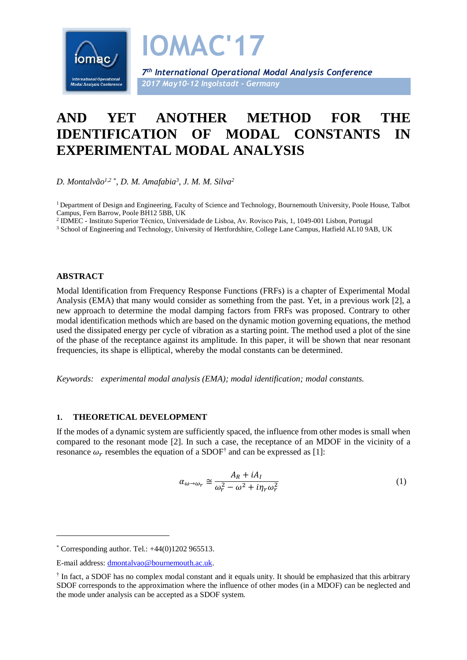

# **AND YET ANOTHER METHOD FOR THE IDENTIFICATION OF MODAL CONSTANTS IN EXPERIMENTAL MODAL ANALYSIS**

*D. Montalvão1,2* \* *, D. M. Amafabia<sup>3</sup> , J. M. M. Silva<sup>2</sup>*

<sup>1</sup> Department of Design and Engineering, Faculty of Science and Technology, Bournemouth University, Poole House, Talbot Campus, Fern Barrow, Poole BH12 5BB, UK

2 IDMEC - Instituto Superior Técnico, Universidade de Lisboa, Av. Rovisco Pais, 1, 1049-001 Lisbon, Portugal

<sup>3</sup> School of Engineering and Technology, University of Hertfordshire, College Lane Campus, Hatfield AL10 9AB, UK

#### **ABSTRACT**

-

Modal Identification from Frequency Response Functions (FRFs) is a chapter of Experimental Modal Analysis (EMA) that many would consider as something from the past. Yet, in a previous work [2], a new approach to determine the modal damping factors from FRFs was proposed. Contrary to other modal identification methods which are based on the dynamic motion governing equations, the method used the dissipated energy per cycle of vibration as a starting point. The method used a plot of the sine of the phase of the receptance against its amplitude. In this paper, it will be shown that near resonant frequencies, its shape is elliptical, whereby the modal constants can be determined.

*Keywords: experimental modal analysis (EMA); modal identification; modal constants.*

### **1. THEORETICAL DEVELOPMENT**

If the modes of a dynamic system are sufficiently spaced, the influence from other modes is small when compared to the resonant mode [2]. In such a case, the receptance of an MDOF in the vicinity of a resonance  $\omega_r$  resembles the equation of a SDOF<sup>†</sup> and can be expressed as [1]:

<span id="page-0-0"></span>
$$
\alpha_{\omega \to \omega_r} \cong \frac{A_R + iA_I}{\omega_r^2 - \omega^2 + i\eta_r \omega_r^2}
$$
 (1)

 $*$  Corresponding author. Tel.:  $+44(0)1202965513$ .

E-mail address: [dmontalvao@bournemouth.ac.uk.](mailto:dmontalvao@bournemouth.ac.uk)

<sup>&</sup>lt;sup>†</sup> In fact, a SDOF has no complex modal constant and it equals unity. It should be emphasized that this arbitrary SDOF corresponds to the approximation where the influence of other modes (in a MDOF) can be neglected and the mode under analysis can be accepted as a SDOF system.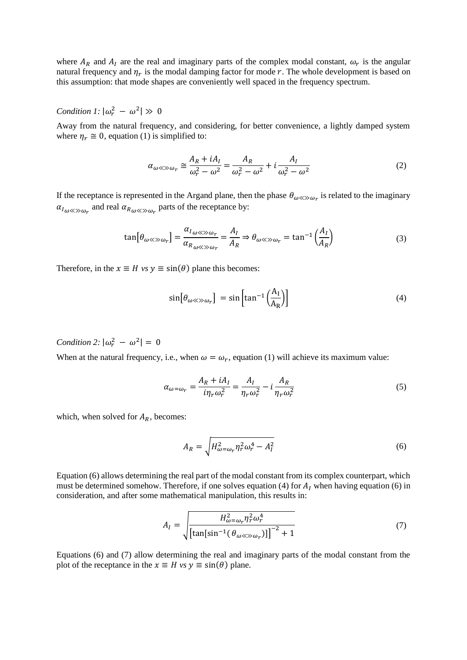where  $A_R$  and  $A_I$  are the real and imaginary parts of the complex modal constant,  $\omega_r$  is the angular natural frequency and  $\eta_r$  is the modal damping factor for mode  $r$ . The whole development is based on this assumption: that mode shapes are conveniently well spaced in the frequency spectrum.

## *Condition 1:*  $|\omega_r^2 - \omega^2| \gg 0$

Away from the natural frequency, and considering, for better convenience, a lightly damped system where  $\eta_r \cong 0$ , equation (1) is simplified to:

$$
\alpha_{\omega \ll \gg \omega_r} \cong \frac{A_R + iA_I}{\omega_r^2 - \omega^2} = \frac{A_R}{\omega_r^2 - \omega^2} + i \frac{A_I}{\omega_r^2 - \omega^2}
$$
(2)

If the receptance is represented in the Argand plane, then the phase  $\theta_{\omega \ll \gg \omega_r}$  is related to the imaginary  $\alpha_{I_{\omega\ll\gg\omega_r}}$  and real  $\alpha_{R_{\omega\ll\gg\omega_r}}$  parts of the receptance by:

$$
\tan[\theta_{\omega \ll \gg \omega_r}] = \frac{\alpha_{I_{\omega \ll \gg \omega_r}}}{\alpha_{R_{\omega \ll \gg \omega_r}} = \frac{A_I}{A_R} \Rightarrow \theta_{\omega \ll \gg \omega_r} = \tan^{-1}\left(\frac{A_I}{A_R}\right)
$$
(3)

Therefore, in the  $x \equiv H$  *vs*  $y \equiv \sin(\theta)$  plane this becomes:

<span id="page-1-1"></span>
$$
\sin[\theta_{\omega \ll \gg \omega_r}] = \sin\left[\tan^{-1}\left(\frac{A_I}{A_R}\right)\right]
$$
 (4)

*Condition 2:*  $|\omega_r^2 - \omega^2| = 0$ 

When at the natural frequency, i.e., when  $\omega = \omega_r$ , equation (1) will achieve its maximum value:

$$
\alpha_{\omega=\omega_r} = \frac{A_R + iA_I}{i\eta_r \omega_r^2} = \frac{A_I}{\eta_r \omega_r^2} - i\frac{A_R}{\eta_r \omega_r^2}
$$
(5)

which, when solved for  $A_R$ , becomes:

<span id="page-1-2"></span><span id="page-1-0"></span>
$$
A_R = \sqrt{H_{\omega=\omega_r}^2 \eta_r^2 \omega_r^4 - A_I^2}
$$
 (6)

Equation [\(6\)](#page-1-0) allows determining the real part of the modal constant from its complex counterpart, which must be determined somehow. Therefore, if one solves equation [\(4\)](#page-1-1) for  $A<sub>I</sub>$  when having equation [\(6\)](#page-1-0) in consideration, and after some mathematical manipulation, this results in:

$$
A_{I} = \sqrt{\frac{H_{\omega=\omega_{r}}^{2} \eta_{r}^{2} \omega_{r}^{4}}{\left[\tan\left[\sin^{-1}\left(\theta_{\omega\ll\gg\omega_{r}}\right)\right]\right]^{-2} + 1}}
$$
(7)

Equations [\(6\)](#page-1-0) and [\(7\)](#page-1-2) allow determining the real and imaginary parts of the modal constant from the plot of the receptance in the  $x \equiv H$  *vs*  $y \equiv \sin(\theta)$  plane.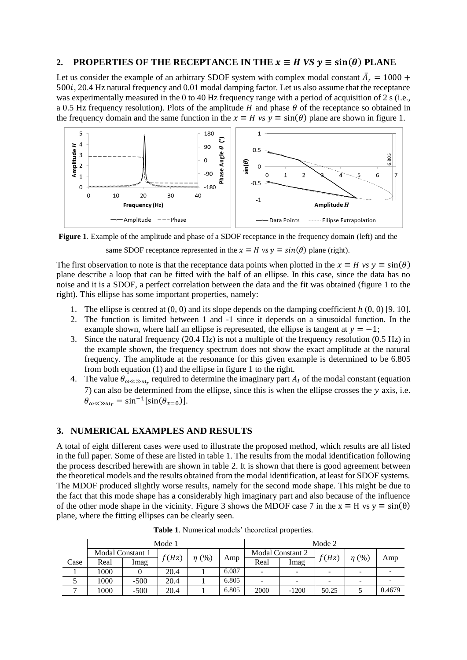#### **2. PROPERTIES OF THE RECEPTANCE IN THE**  $x \equiv H$  *VS*  $y \equiv \sin(\theta)$  **PLANE**

Let us consider the example of an arbitrary SDOF system with complex modal constant  $\overline{A}_r = 1000 +$ 500*i*, 20.4 Hz natural frequency and 0.01 modal damping factor. Let us also assume that the receptance was experimentally measured in the 0 to 40 Hz frequency range with a period of acquisition of 2 s (i.e., a 0.5 Hz frequency resolution). Plots of the amplitude  $H$  and phase  $\theta$  of the receptance so obtained in the frequency domain and the same function in the  $x \equiv H v s v \equiv \sin(\theta)$  plane are shown in figure [1.](#page-2-0)



<span id="page-2-0"></span>**Figure 1**. Example of the amplitude and phase of a SDOF receptance in the frequency domain (left) and the

same SDOF receptance represented in the  $x \equiv H$  *vs*  $y \equiv \sin(\theta)$  plane (right).

The first observation to note is that the receptance data points when plotted in the  $x \equiv H$  vs  $y \equiv \sin(\theta)$ plane describe a loop that can be fitted with the half of an ellipse. In this case, since the data has no noise and it is a SDOF, a perfect correlation between the data and the fit was obtained (figure 1 to the right). This ellipse has some important properties, namely:

- 1. The ellipse is centred at  $(0, 0)$  and its slope depends on the damping coefficient  $h(0, 0)$  [9. 10].
- 2. The function is limited between 1 and -1 since it depends on a sinusoidal function. In the example shown, where half an ellipse is represented, the ellipse is tangent at  $y = -1$ ;
- 3. Since the natural frequency (20.4 Hz) is not a multiple of the frequency resolution (0.5 Hz) in the example shown, the frequency spectrum does not show the exact amplitude at the natural frequency. The amplitude at the resonance for this given example is determined to be 6.805 from both equation [\(1\)](#page-0-0) and the ellipse in figure 1 to the right.
- 4. The value  $\theta_{\omega \ll \omega_r}$  required to determine the imaginary part  $A_I$  of the modal constant (equation [7\)](#page-1-2) can also be determined from the ellipse, since this is when the ellipse crosses the  $y$  axis, i.e.  $\theta_{\omega \ll \gg \omega_r} = \sin^{-1}[\sin(\theta_{\chi=0})].$

#### **3. NUMERICAL EXAMPLES AND RESULTS**

A total of eight different cases were used to illustrate the proposed method, which results are all listed in the full paper. Some of these are listed in table [1.](#page-2-1) The results from the modal identification following the process described herewith are shown in table [2.](#page-3-0) It is shown that there is good agreement between the theoretical models and the results obtained from the modal identification, at least for SDOF systems. The MDOF produced slightly worse results, namely for the second mode shape. This might be due to the fact that this mode shape has a considerably high imaginary part and also because of the influence of the other mode shape in the vicinity. Figure 3 shows the MDOF case 7 in the  $x \equiv H$  vs  $y \equiv \sin(\theta)$ plane, where the fitting ellipses can be clearly seen.

|      | Mode 1           |        |       |            | Mode 2 |                          |                          |       |            |        |
|------|------------------|--------|-------|------------|--------|--------------------------|--------------------------|-------|------------|--------|
|      | Modal Constant 1 |        | f(Hz) | $\eta$ (%) |        | <b>Modal Constant 2</b>  |                          | f(Hz) | $\eta$ (%) |        |
| Case | Real             | Imag   |       |            | Amp    | Real                     | Imag                     |       |            | Amp    |
|      | 1000             |        | 20.4  |            | 6.087  | $\overline{\phantom{0}}$ | $\overline{\phantom{0}}$ |       |            |        |
|      | 1000             | $-500$ | 20.4  |            | 6.805  | $\overline{\phantom{0}}$ | $\overline{\phantom{0}}$ |       |            |        |
|      | 1000             | $-500$ | 20.4  |            | 6.805  | 2000                     | $-1200$                  | 50.25 |            | 0.4679 |

<span id="page-2-1"></span>**Table 1**. Numerical models' theoretical properties.